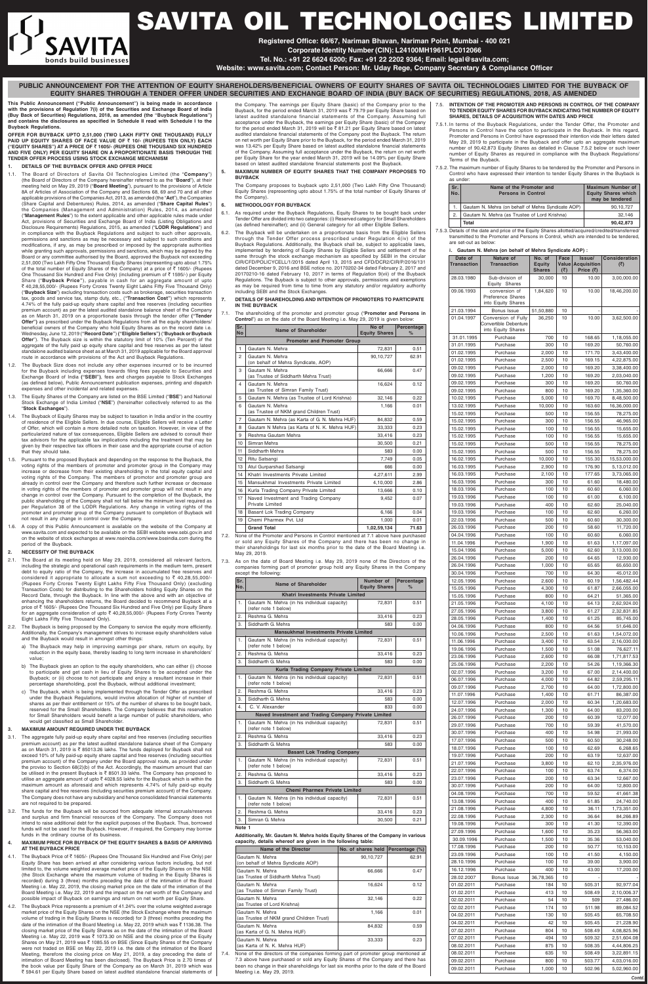**This Public Announcement ("Public Announcement") is being made in accordance with the provisions of Regulation 7(i) of the Securities and Exchange Board of India (Buy Back of Securities) Regulations, 2018, as amended (the "Buyback Regulations") and contains the disclosures as specified in Schedule II read with Schedule I to the Buyback Regulations.**

**OFFER FOR BUYBACK UPTO 2,51,000 (TWO LAKH FIFTY ONE THOUSAND) FULLY PAID UP EQUITY SHARES OF FACE VALUE OF** ` **10/- (RUPEES TEN ONLY) EACH ("EQUITY SHARES") AT A PRICE OF** ` **1605/- (RUPEES ONE THOUSAND SIX HUNDRED AND FIVE ONLY) PER EQUITY SHARE ON A PROPORTIONATE BASIS THROUGH THE TENDER OFFER PROCESS USING STOCK EXCHANGE MECHANISM**

#### **1. DETAILS OF THE BUYBACK OFFER AND OFFER PRICE**

- 1.1. The Board of Directors of Savita Oil Technologies Limited (the "**Company**") (the Board of Directors of the Company hereinafter referred to as the "**Board**"), at their meeting held on May 29, 2019 ("**Board Meeting**"), pursuant to the provisions of Article 8A of Articles of Association of the Company and Sections 68, 69 and 70 and all other applicable provisions of the Companies Act, 2013, as amended (the "**Act**"), the Companies (Share Capital and Debentures) Rules, 2014, as amended ("**Share Capital Rules**") the Companies (Management and Administration) Rules, 2014, as amended ("**Management Rules**") to the extent applicable and other applicable rules made under Act, provisions of Securities and Exchange Board of India (Listing Obligations and Disclosure Requirements) Regulations, 2015, as amended ("**LODR Regulations**") and in compliance with the Buyback Regulations and subject to such other approvals, permissions and sanctions as may be necessary and subject to such conditions and modifications, if any, as may be prescribed or imposed by the appropriate authorities while granting such approvals, permissions and sanctions, which may be agreed by the Board or any committee authorised by the Board, approved the Buyback not exceeding 2,51,000 (Two Lakh Fifty One Thousand) Equity Shares (representing upto about 1.75% of the total number of Equity Shares of the Company) at a price of  $\bar{\tau}$  1605/- (Rupees One Thousand Six Hundred and Five Only) (including premium of  $\bar{z}$  1595/-) per Equity Share ("**Buyback Price"**), payable in cash for an aggregate amount of upto ` 40,28,55,000/- (Rupees Forty Crores Twenty Eight Lakhs Fifty Five Thousand Only) ("**Buyback Size**") excluding transaction costs such as brokerage, securities transaction tax, goods and service tax, stamp duty, etc., (**"Transaction Cost"**) which represents 4.74% of the fully paid-up equity share capital and free reserves (including securities premium account) as per the latest audited standalone balance sheet of the Company as on March 31, 2019 on a proportionate basis through the tender offer **("Tender Offer")** as prescribed under the Buyback Regulations from all the equity shareholders/ beneficial owners of the Company who hold Equity Shares as on the record date i.e. Wednesday, June 12, 2019 (**"Record Date"**) **("Eligible Sellers")** ("**Buyback or Buyback Offer**"). The Buyback size is within the statutory limit of 10% (Ten Percent) of the aggregate of the fully paid up equity share capital and free reserves as per the latest standalone audited balance sheet as at March 31, 2019 applicable for the Board approval route in accordance with provisions of the Act and Buyback Regulations.
- 1.2. The Buyback Size does not include any other expenses incurred or to be incurred for the Buyback including expenses towards filing fees payable to Securities and Exchange Board of India **("SEBI")**, fees and charges payable to Stock Exchanges (as defined below), Public Announcement publication expenses, printing and dispatch expenses and other incidental and related expenses.
- 1.3. The Equity Shares of the Company are listed on the BSE Limited ("**BSE**") and National Stock Exchange of India Limited ("**NSE**") (hereinafter collectively referred to as the "**Stock Exchanges**").
- 1.4. The Buyback of Equity Shares may be subject to taxation in India and/or in the country of residence of the Eligible Sellers. In due course, Eligible Sellers will receive a Letter of Offer, which will contain a more detailed note on taxation. However, in view of the particularized nature of tax consequences, Eligible Sellers are advised to consult their tax advisors for the applicable tax implications including the treatment that may be given by their respective tax officers in their case and the appropriate course of action that they should take.
- 1.5. Pursuant to the proposed Buyback and depending on the response to the Buyback, the voting rights of the members of promoter and promoter group in the Company may increase or decrease from their existing shareholding in the total equity capital and voting rights of the Company. The members of promotor and promoter group are already in control over the Company and therefore such further increase or decrease in voting rights of the members of promoter and promoter group will not result in any change in control over the Company. Pursuant to the completion of the Buyback, the public shareholding of the Company shall not fall below the minimum level required as per Regulation 38 of the LODR Regulations. Any change in voting rights of the promoter and promoter group of the Company pursuant to completion of Buyback will not result in any change in control over the Company.
- 1.6. A copy of this Public Announcement is available on the website of the Company at www.savita.com and expected to be available on the SEBI website www.sebi.gov.in and on the website of stock exchanges at www.nseindia.com/www.bseindia.com during the period of the Buyback.

- 4.1. The Buyback Price of  $\bar{\bar{\epsilon}}$  1605/- (Rupees One Thousand Six Hundred and Five Only) per Equity Share has been arrived at after considering various factors including, but not limited to, the volume weighted average market price of the Equity Shares on the NSE (the Stock Exchange where the maximum volume of trading in the Equity Shares is recorded) during 3 (three) months preceding the date of the intimation of the Board Meeting i.e. May 22, 2019, the closing market price on the date of the intimation of the Board Meeting i.e. May 22, 2019 and the impact on the net worth of the Company and possible impact of Buyback on earnings and return on net worth per Equity Share.
- 4.2. The Buyback Price represents a premium of 41.24% over the volume weighted average market price of the Equity Shares on the NSE (the Stock Exchange where the maximum volume of trading in the Equity Shares is recorded) for 3 (three) months preceding the date of the intimation of the Board Meeting i.e. May 22, 2019 which was  $\bar{\tau}$  1136.38. The closing market price of the Equity Shares as on the date of the intimation of the Board Meeting i.e. May 22, 2019 was  $\bar{\tau}$  1073.30 on NSE and the closing price of the Equity Shares on May 21, 2019 was ₹ 1085.55 on BSE (Since Equity Shares of the Company were not traded on BSE on May 22, 2019 i.e. the date of the intimation of the Board Meeting, therefore the closing price on May 21, 2019, a day preceding the date of intimation of Board Meeting has been disclosed). The Buyback Price is 2.70 times of the book value per Equity Share of the Company as on March 31, 2019 which was ` 594.61 per Equity Share based on latest audited standalone financial statements of

#### **2. NECESSITY OF THE BUYBACK**

2.1. The Board at its meeting held on May 29, 2019, considered all relevant factors, including the strategic and operational cash requirements in the medium term, present debt to equity ratio of the Company, the increase in accumulated free reserves and considered it appropriate to allocate a sum not exceeding to  $\bar{\tau}$  40,28,55,000/-(Rupees Forty Crores Twenty Eight Lakhs Fifty Five Thousand Only) (excluding Transaction Costs) for distributing to the Shareholders holding Equity Shares on the Record Date, through the Buyback. In line with the above and with an objective of enhancing the shareholders returns, the Board decided to recommend Buyback at a price of ₹1605/- (Rupees One Thousand Six Hundred and Five Only) per Equity Share for an aggregate consideration of upto ` 40,28,55,000/- (Rupees Forty Crores Twenty Eight Lakhs Fifty Five Thousand Only).

- 2.2. The Buyback is being proposed by the Company to service the equity more efficiently. Additionally, the Company's management strives to increase equity shareholders value and the Buyback would result in amongst other things:
	- a) The Buyback may help in improving earnings per share, return on equity, by reduction in the equity base, thereby leading to long term increase in shareholders' value;
	- b) The Buyback gives an option to the equity shareholders, who can either (i) choose to participate and get cash in lieu of Equity Shares to be accepted under the Buyback; or (ii) choose to not participate and enjoy a resultant increase in their percentage shareholding, post the Buyback, without additional investment;
	- c) The Buyback, which is being implemented through the Tender Offer as prescribed under the Buyback Regulations, would involve allocation of higher of number of shares as per their entitlement or 15% of the number of shares to be bought back, reserved for the Small Shareholders. The Company believes that this reservation for Small Shareholders would benefit a large number of public shareholders, who would get classified as Small Shareholder.

#### **3. MAXIMUM AMOUNT REQUIRED UNDER THE BUYBACK**

- 3.1. The aggregate fully paid-up equity share capital and free reserves (including securities premium account) as per the latest audited standalone balance sheet of the Company as on March 31, 2019 is  $\bar{\tau}$  85013.26 lakhs. The funds deployed for Buyback shall not exceed 10% of fully paid-up equity share capital and free reserves (including securities premium account) of the Company under the Board approval route, as provided under the proviso to Section 68(2)(b) of the Act. Accordingly, the maximum amount that can be utilised in the present Buyback is  $\bar{\bar{\tau}}$  8501.33 lakhs. The Company has proposed to utilise an aggregate amount of upto  $\bar{\tau}$  4028.55 lakhs for the Buyback which is within the maximum amount as aforesaid and which represents 4.74% of fully paid-up equity share capital and free reserves (including securities premium account) of the Company. The Company does not have any subsidiary and hence consolidated financial statements are not required to be prepared.
- 3.2. The funds for the Buyback will be sourced from adequate internal accruals/reserves and surplus and firm financial resources of the Company. The Company does not intend to raise additional debt for the explicit purposes of the Buyback. Thus, borrowed funds will not be used for the Buyback. However, if required, the Company may borrow funds in the ordinary course of its business.

#### **4. MAXIMUM PRICE FOR BUYBACK OF THE EQUITY SHARES & BASIS OF ARRIVING AT THE BUYBACK PRICE**

the Company. The earnings per Equity Share (basic) of the Company prior to the Buyback, for the period ended March 31, 2019 was ₹ 79.79 per Equity Share based on latest audited standalone financial statements of the Company. Assuming full acceptance under the Buyback, the earnings per Equity Share (basic) of the Company for the period ended March 31, 2019 will be ₹ 81.21 per Equity Share based on latest audited standalone financial statements of the Company post the Buyback. The return on net worth per Equity Share prior to the Buyback, for the period ended March 31, 2019 was 13.42% per Equity Share based on latest audited standalone financial statements of the Company. Assuming full acceptance under the Buyback, the return on net worth per Equity Share for the year ended March 31, 2019 will be 14.09% per Equity Share based on latest audited standalone financial statements post the Buyback.

**5. MAXIMUM NUMBER OF EQUITY SHARES THAT THE COMPANY PROPOSES TO BUYBACK**

The Company proposes to buyback upto 2,51,000 (Two Lakh Fifty One Thousand) Equity Shares (representing upto about 1.75% of the total number of Equity Shares of the Company).

#### **6. METHODOLOGY FOR BUYBACK**

- 6.1. As required under the Buyback Regulations, Equity Shares to be bought back under Tender Offer are divided into two categories: (i) Reserved category for Small Shareholders (as defined hereinafter); and (ii) General category for all other Eligible Sellers.
- The Buyback will be undertaken on a proportionate basis from the Eligible Sellers through the Tender Offer process prescribed under Regulation 4(iv) of the Buyback Regulations. Additionally, the Buyback shall be, subject to applicable laws, implemented by tendering of Equity Shares by Eligible Sellers and settlement of the same through the stock exchange mechanism as specified by SEBI in the circular CIR/CFD/POLICYCELL/1/2015 dated April 13, 2015 and CFD/DCR2/CIR/P/2016/131 dated December 9, 2016 and BSE notice no. 20170202-34 dated February 2, 2017 and 20170210-16 dated February 10, 2017 in terms of Regulation 9(vii) of the Buyback Regulations. The Buyback is subject to other approvals, permissions and exemptions as may be required from time to time from any statutory and/or regulatory authority including SEBI and the Stock Exchanges.
- **7. DETAILS OF SHAREHOLDING AND INTENTION OF PROMOTERS TO PARTICIPATE IN THE BUYBACK**
- 7.1. The shareholding of the promoter and promoter group ("**Promoter and Persons in Control**") as on the date of the Board Meeting i.e. May 29, 2019 is given below:

| Sr.<br>No      | Name of Shareholder                                                               | No of<br><b>Equity Shares</b> | Percentage<br>$\%$ |  |  |  |
|----------------|-----------------------------------------------------------------------------------|-------------------------------|--------------------|--|--|--|
|                | <b>Promoter and Promoter Group</b>                                                |                               |                    |  |  |  |
| 1              | Gautam N. Mehra                                                                   | 72,831                        | 0.51               |  |  |  |
| $\overline{2}$ | Gautam N. Mehra<br>(on behalf of Mehra Syndicate, AOP)                            | 90,10,727                     | 62.91              |  |  |  |
| 3              | Gautam N. Mehra<br>(as Trustee of Siddharth Mehra Trust)                          | 66,666                        | 0.47               |  |  |  |
| 4              | Gautam N. Mehra<br>(as Trustee of Simran Family Trust)                            | 16,624                        | 0.12               |  |  |  |
| 5              | Gautam N. Mehra (as Trustee of Lord Krishna)                                      | 32,146                        | 0.22               |  |  |  |
| 6              | Gautam N. Mehra<br>(as Trustee of NKM grand Children Trust)                       | 1,166                         | 0.01               |  |  |  |
| $\overline{7}$ | Gautam N. Mehra (as Karta of G. N. Mehra HUF)                                     | 84,832                        | 0.59               |  |  |  |
| 8              | Gautam N Mehra (as Karta of N. K. Mehra HUF)                                      | 33,333                        | 0.23               |  |  |  |
| 9              | Reshma Gautam Mehra                                                               | 33.416                        | 0.23               |  |  |  |
| 10             | Simran Mehra                                                                      | 30,500                        | 0.21               |  |  |  |
| 11             | Siddharth Mehra                                                                   | 583                           | 0.00               |  |  |  |
| 12             | Ritu Satsangi                                                                     | 7,749                         | 0.05               |  |  |  |
| 13             | Atul Gurparshad Satsangi                                                          | 666                           | 0.00               |  |  |  |
| 14             | Khatri Investments Private Limited                                                | 4,27,611                      | 2.99               |  |  |  |
| 15             | Mansukhmal Investments Private Limited                                            | 4,10,000                      | 2.86               |  |  |  |
| 16             | Kurla Trading Company Private Limited                                             | 13,666                        | 0.10               |  |  |  |
| 17             | Naved Investment and Trading Company<br>Private Limited                           | 9,452                         | 0.07               |  |  |  |
| 18             | Basant Lok Trading Company                                                        | 6,166                         | 0.04               |  |  |  |
| 19             | Chemi Pharmex Pvt. Ltd.                                                           | 1,000                         | 0.01               |  |  |  |
|                | <b>Grand Total</b>                                                                | 1,02,59,134                   | 71.63              |  |  |  |
|                | None of the Premeter and Persons in Control mentioned at 7.1 above have purphased |                               |                    |  |  |  |

7.2. None of the Promoter and Persons in Control mentioned at 7.1 above have purchased or sold any Equity Shares of the Company and there has been no change in their shareholdings for last six months prior to the date of the Board Meeting i.e. May 29, 2019.

7.3. As on the date of Board Meeting i.e. May 29, 2019 none of the Directors of the companies forming part of promoter group hold any Equity Shares in the Company except the following:

| Sr.<br>No.                    | Name of Shareholder                                                  | Number of<br><b>Equity Shares</b> | Percentage<br>$\%$ |  |  |  |  |
|-------------------------------|----------------------------------------------------------------------|-----------------------------------|--------------------|--|--|--|--|
|                               | Khatri Investments Private Limited                                   |                                   |                    |  |  |  |  |
| 1.                            | Gautam N. Mehra (in his individual capacity)<br>(refer note 1 below) | 72,831                            | 0.51               |  |  |  |  |
| 2.                            | Reshma G. Mehra                                                      | 33,416                            | 0.23               |  |  |  |  |
| 3.                            | Siddharth G. Mehra                                                   | 583                               | 0.00               |  |  |  |  |
|                               | <b>Mansukhmal Investments Private Limited</b>                        |                                   |                    |  |  |  |  |
| 1.                            | Gautam N. Mehra (in his individual capacity)<br>(refer note 1 below) | 72,831                            | 0.51               |  |  |  |  |
| 2.                            | Reshma G. Mehra                                                      | 33,416                            | 0.23               |  |  |  |  |
| 3.                            | Siddharth G. Mehra                                                   | 583                               | 0.00               |  |  |  |  |
|                               | Kurla Trading Company Private Limited                                |                                   |                    |  |  |  |  |
| 1.                            | Gautam N. Mehra (in his individual capacity)<br>(refer note 1 below) | 72,831                            | 0.51               |  |  |  |  |
| 2.                            | Reshma G. Mehra                                                      | 33,416                            | 0.23               |  |  |  |  |
| 3.                            | Siddharth G. Mehra                                                   | 583                               | 0.00               |  |  |  |  |
| 4.                            | C. V. Alexander                                                      | 833                               | 0.00               |  |  |  |  |
|                               | Naved Investment and Trading Company Private Limited                 |                                   |                    |  |  |  |  |
| 1.                            | Gautam N. Mehra (in his individual capacity)<br>(refer note 1 below) | 72,831                            | 0.51               |  |  |  |  |
| 2.                            | Reshma G. Mehra                                                      | 33.416                            | 0.23               |  |  |  |  |
| 3.                            | Siddharth G. Mehra                                                   | 583                               | 0.00               |  |  |  |  |
|                               | <b>Basant Lok Trading Company</b>                                    |                                   |                    |  |  |  |  |
| 1.                            | Gautam N. Mehra (in his individual capacity)<br>(refer note 1 below) | 72,831                            | 0.51               |  |  |  |  |
| 2.                            | Reshma G. Mehra                                                      | 33,416                            | 0.23               |  |  |  |  |
| 3.                            | Siddharth G. Mehra                                                   | 583                               | 0.00               |  |  |  |  |
| Chemi Pharmex Private Limited |                                                                      |                                   |                    |  |  |  |  |
| 1.                            | Gautam N. Mehra (in his individual capacity)<br>(refer note 1 below) | 72,831                            | 0.51               |  |  |  |  |
| 2.                            | Reshma G. Mehra                                                      | 33,416                            | 0.23               |  |  |  |  |
| 3.                            | Simran G. Mehra                                                      | 30,500                            | 0.21               |  |  |  |  |
|                               | Note 1                                                               |                                   |                    |  |  |  |  |

**Additionally, Mr. Gautam N. Mehra holds Equity Shares of the Company in various capacity, details whereof are given in the following table:**

| Name of the Director                                        | No. of shares held | Percentage (%) |
|-------------------------------------------------------------|--------------------|----------------|
| Gautam N. Mehra<br>(on behalf of Mehra Syndicate AOP)       | 90,10,727          | 62.91          |
| Gautam N. Mehra<br>(as Trustee of Siddharth Mehra Trust)    | 66,666             | 0.47           |
| Gautam N. Mehra<br>(as Trustee of Simran Family Trust)      | 16,624             | 0.12           |
| Gautam N. Mehra<br>(as Trustee of Lord Krishna)             | 32,146             | 0.22           |
| Gautam N. Mehra<br>(as Trustee of NKM grand Children Trust) | 1,166              | 0.01           |
| Gautam N. Mehra<br>(as Karta of G. N. Mehra HUF)            | 84,832             | 0.59           |
| Gautam N. Mehra<br>(as Karta of N. K. Mehra HUF)            | 33,333             | 0.23           |

7.4. None of the directors of the companies forming part of promoter group mentioned at 7.3 above have purchased or sold any Equity Shares of the Company and there has been no change in their shareholdings for last six months prior to the date of the Board Meeting i.e. May 29, 2019.

- 7.5. **INTENTION OF THE PROMOTER AND PERSONS IN CONTROL OF THE COMPANY TO TENDER EQUITY SHARES FOR BUYBACK INDICATING THE NUMBER OF EQUITY SHARES, DETAILS OF ACQUISITION WITH DATES AND PRICE**
- 7.5.1. In terms of the Buyback Regulations, under the Tender Offer, the Promoter and Persons in Control have the option to participate in the Buyback. In this regard, Promoter and Persons in Control have expressed their intention vide their letters dated May 29, 2019 to participate in the Buyback and offer upto an aggregate maximum number of 90,42,873 Equity Shares as detailed in Clause 7.5.2 below or such lower number of Equity Shares as required in compliance with the Buyback Regulations/ Terms of the Buyback.
- 7.5.2. The maximum number of Equity Shares to be tendered by the Promoter and Persons in Control who have expressed their intention to tender Equity Shares in the Buyback is as under:

| Sr.<br>No. | Name of the Promoter and<br><b>Persons in Control</b> | <b>Maximum Number of</b><br><b>Equity Shares which</b><br>may be tendered |
|------------|-------------------------------------------------------|---------------------------------------------------------------------------|
| 1.         | Gautam N. Mehra (on behalf of Mehra Syndicate AOP)    | 90,10,727                                                                 |
| 2.         | Gautam N. Mehra (as Trustee of Lord Krishna)          | 32.146                                                                    |
|            | Total                                                 | 90,42,873                                                                 |

7.5.3. Details of the date and price of the Equity Shares allotted/acquired/credited/transferred/ transmitted to the Promoter and Persons in Control, which are intended to be tendered, are set-out as below:

| i. Gautam N. Mehra (on behalf of Mehra Syndicate AOP) : |  |  |  |
|---------------------------------------------------------|--|--|--|
|                                                         |  |  |  |

|                               | Gautani N. Menia (On benan Or Menia Oynulcate AOF).<br>Nature of |                         | Face  |                              |                             |
|-------------------------------|------------------------------------------------------------------|-------------------------|-------|------------------------------|-----------------------------|
| Date of<br><b>Transaction</b> | <b>Transaction</b>                                               | No. of<br><b>Equity</b> | Value | Issue/<br><b>Acquisition</b> | <b>Consideration</b><br>(₹) |
|                               |                                                                  | <b>Shares</b>           | (3)   | Price (₹)                    |                             |
|                               |                                                                  |                         |       |                              |                             |
| 28.03.1980                    | Sub-division of                                                  | 30,000                  | 10    | 10.00                        | 3,00,000.00                 |
|                               | Equity Shares                                                    |                         |       |                              |                             |
| 09.06.1993                    | conversion of                                                    | 1,84,620                | 10    | 10.00                        | 18,46,200.00                |
|                               | Preference Shares                                                |                         |       |                              |                             |
|                               | into Equity Shares                                               |                         |       |                              |                             |
| 21.03.1994                    | Bonus Issue                                                      | 51,50,880               | 10    |                              |                             |
| 01.04.1997                    | Conversion of Fully                                              | 36,250                  | 10    | 10.00                        | 3,62,500.00                 |
|                               | Convertible Debenture                                            |                         |       |                              |                             |
|                               | into Equity Shares                                               |                         |       |                              |                             |
| 31.01.1995                    | Purchase                                                         | 700                     | 10    | 168.65                       | 1,18,055.00                 |
|                               |                                                                  |                         |       |                              |                             |
| 31.01.1995                    | Purchase                                                         | 300                     | 10    | 169.20                       | 50,760.00                   |
| 01.02.1995                    | Purchase                                                         | 2,000                   | 10    | 171.70                       | 3,43,400.00                 |
| 01.02.1995                    | Purchase                                                         | 2,500                   | 10    | 169.15                       | 4,22,875.00                 |
| 09.02.1995                    | Purchase                                                         | 2,000                   | 10    | 169.20                       | 3,38,400.00                 |
|                               |                                                                  |                         |       |                              |                             |
| 09.02.1995                    | Purchase                                                         | 1,200                   | 10    | 169.20                       | 2,03,040.00                 |
| 09.02.1995                    | Purchase                                                         | 300                     | 10    | 169.20                       | 50,760.00                   |
| 09.02.1995                    | Purchase                                                         | 800                     | 10    | 169.20                       | 1,35,360.00                 |
|                               |                                                                  |                         |       |                              |                             |
| 10.02.1995                    | Purchase                                                         | 5,000                   | 10    | 169.70                       | 8,48,500.00                 |
| 13.02.1995                    | Purchase                                                         | 10,000                  | 10    | 163.60                       | 16,36,000.00                |
| 15.02.1995                    | Purchase                                                         | 500                     | 10    | 156.55                       | 78,275.00                   |
| 15.02.1995                    | Purchase                                                         | 300                     | 10    | 156.55                       | 46,965.00                   |
|                               |                                                                  |                         |       |                              |                             |
| 15.02.1995                    | Purchase                                                         | 100                     | 10    | 156.55                       | 15,655.00                   |
| 15.02.1995                    | Purchase                                                         | 100                     | 10    | 156.55                       | 15,655.00                   |
| 15.02.1995                    | Purchase                                                         | 500                     | 10    | 156.55                       | 78,275.00                   |
| 15.02.1995                    | Purchase                                                         | 500                     | 10    | 156.55                       | 78,275.00                   |
|                               |                                                                  |                         |       |                              |                             |
| 16.02.1995                    | Purchase                                                         | 10,000                  | 10    | 155.30                       | 15,53,000.00                |
| 16.03.1995                    | Purchase                                                         | 2,900                   | 10    | 176.90                       | 5,13,012.00                 |
| 16.03.1995                    | Purchase                                                         | 2,100                   | 10    | 177.65                       | 3,73,065.00                 |
| 16.03.1996                    | Purchase                                                         | 300                     | 10    |                              |                             |
|                               |                                                                  |                         |       | 61.60                        | 18,480.00                   |
| 18.03.1996                    | Purchase                                                         | 100                     | 10    | 60.60                        | 6,060.00                    |
| 19.03.1996                    | Purchase                                                         | 100                     | 10    | 61.00                        | 6,100.00                    |
| 19.03.1996                    | Purchase                                                         | 400                     | 10    | 62.60                        | 25,040.00                   |
|                               |                                                                  |                         |       |                              |                             |
| 19.03.1996                    | Purchase                                                         | 100                     | 10    | 62.60                        | 6,260.00                    |
| 22.03.1996                    | Purchase                                                         | 500                     | 10    | 60.60                        | 30,300.00                   |
| 26.03.1996                    | Purchase                                                         | 200                     | 10    | 58.60                        | 11,720.00                   |
| 04.04.1996                    | Purchase                                                         | 100                     | 10    | 60.60                        | 6,060.00                    |
|                               |                                                                  |                         |       |                              |                             |
| 11.04.1996                    | Purchase                                                         | 1,900                   | 10    | 61.63                        | 1,17,097.00                 |
| 15.04.1996                    | Purchase                                                         | 5,000                   | 10    | 62.60                        | 3,13,000.00                 |
| 26.04.1996                    | Purchase                                                         | 200                     | 10    | 64.65                        | 12,930.00                   |
| 26.04.1996                    | Purchase                                                         | 1,000                   | 10    | 65.65                        | 65,650.00                   |
| 30.04.1996                    | Purchase                                                         | 700                     | 10    | 64.30                        | 45,012.00                   |
|                               |                                                                  |                         |       |                              |                             |
| 12.05.1996                    | Purchase                                                         | 2,600                   | 10    | 60.19                        | 1,56,482.44                 |
| 15.05.1996                    | Purchase                                                         | 4,300                   | 10    | 61.87                        | 2,66,055.00                 |
| 15.05.1996                    | Purchase                                                         | 800                     | 10    | 64.21                        | 51,365.00                   |
| 21.05.1996                    | Purchase                                                         | 4,100                   | 10    | 64.13                        | 2,62,924.00                 |
| 27.05.1996                    | Purchase                                                         | 3,800                   | 10    | 61.27                        | 2,32,831.85                 |
|                               |                                                                  |                         |       |                              |                             |
| 28.05.1996                    | Purchase                                                         | 1,400                   | 10    | 61.25                        | 85,745.00                   |
| 04.06.1996                    | Purchase                                                         | 800                     | 10    | 64.56                        | 51,646.00                   |
| 10.06.1996                    | Purchase                                                         | 2,500                   | 10    | 61.63                        | 1,54,072.00                 |
| 11.06.1996                    | Purchase                                                         | 3,400                   | 10    | 63.54                        | 2,16,030.00                 |
|                               |                                                                  | 1,500                   | 10    |                              |                             |
| 19.06.1996                    | Purchase                                                         |                         |       | 51.08                        | 76,627.11                   |
| 23.06.1996                    | Purchase                                                         | 2,600                   | 10    | 66.08                        | 1,71,817.53                 |
| 25.06.1996                    | Purchase                                                         | 2,200                   | 10    | 54.26                        | 1,19,366.30                 |
| 02.07.1996                    | Purchase                                                         | 3,200                   | 10    | 67.00                        | 2,14,400.00                 |
| 06.07.1996                    | Purchase                                                         | 4,000                   | 10    | 64.82                        | 2,59,295.11                 |
|                               |                                                                  |                         |       |                              |                             |
| 09.07.1996                    | Purchase                                                         | 2,700                   | 10    | 64.00                        | 1,72,800.00                 |
| 11.07.1996                    | Purchase                                                         | 1,400                   | 10    | 61.71                        | 86,387.00                   |
| 12.07.1996                    | Purchase                                                         | 2,000                   | 10    | 60.34                        | 1,20,683.00                 |
| 24.07.1996                    | Purchase                                                         | 1,300                   | 10    | 64.00                        | 83,200.00                   |
| 26.07.1996                    | Purchase                                                         | 200                     | 10    | 60.39                        | 12,077.00                   |
|                               |                                                                  |                         |       |                              |                             |
| 29.07.1996                    | Purchase                                                         | 700                     | 10    | 59.39                        | 41,570.00                   |
| 30.07.1996                    | Purchase                                                         | 400                     | 10    | 54.98                        | 21,993.00                   |
| 17.07.1996                    | Purchase                                                         | 500                     | 10    | 60.50                        | 30,248.00                   |
| 18.07.1996                    | Purchase                                                         | 100                     | 10    | 62.69                        | 6,268.65                    |
| 19.07.1996                    | Purchase                                                         | 200                     | 10    | 63.19                        | 12,637.00                   |
|                               |                                                                  |                         |       |                              |                             |
| 21.07.1996                    | Purchase                                                         | 3,800                   | 10    | 62.10                        | 2,35,976.00                 |
| 22.07.1996                    | Purchase                                                         | 100                     | 10    | 63.74                        | 6,374.00                    |
| 23.07.1996                    | Purchase                                                         | 200                     | 10    | 63.34                        | 12,667.00                   |
| 30.07.1996                    | Purchase                                                         | 200                     | 10    | 64.00                        | 12,800.00                   |
| 04.08.1996                    | Purchase                                                         | 700                     | 10    | 59.52                        | 41,661.38                   |
|                               |                                                                  |                         |       |                              |                             |
| 13.08.1996                    | Purchase                                                         | 400                     | 10    | 61.85                        | 24,740.00                   |
| 21.08.1996                    | Purchase                                                         | 4,800                   | 10    | 36.11                        | 1,73,351.00                 |
| 22.08.1996                    | Purchase                                                         | 2,300                   | 10    | 36.64                        | 84,266.89                   |
| 19.08.1996                    | Purchase                                                         | 300                     | 10    | 41.30                        | 12,390.00                   |
|                               |                                                                  |                         |       |                              |                             |
| 27.09.1996                    | Purchase                                                         | 1,600                   | 10    | 35.23                        | 56,363.00                   |
| 30.09.1996                    | Purchase                                                         | 1,500                   | 10    | 35.36                        | 53,040.00                   |
| 17.08.1996                    | Purchase                                                         | 200                     | 10    | 50.77                        | 10,153.00                   |
| 23.09.1996                    | Purchase                                                         | 100                     | 10    | 41.50                        | 4,150.00                    |
| 28.10.1996                    | Purchase                                                         | 100                     | 10    | 39.00                        | 3,900.00                    |
|                               |                                                                  |                         |       |                              |                             |
| 16.12.1996                    | Purchase                                                         | 400                     | 10    | 43.00                        | 17,200.00                   |
| 28.02.2007                    | Bonus Issue                                                      | 36,78,365               | 10    |                              |                             |
| 01.02.2011                    | Purchase                                                         | 184                     | 10    | 505.31                       | 92,977.04                   |
| 01.02.2011                    | Purchase                                                         | 413                     | 10    | 508.49                       | 2,10,006.37                 |
|                               |                                                                  |                         |       |                              |                             |
| 02.02.2011                    | Purchase                                                         | 54                      | 10    | 509                          | 27,486.00                   |
| 02.02.2011                    | Purchase                                                         | 174                     | 10    | 511.98                       | 89,084.52                   |
| 04.02.2011                    | Purchase                                                         | 130                     | 10    | 505.45                       | 65,708.50                   |
| 04.02.2011                    | Purchase                                                         | 42                      | 10    | 505.45                       | 21,228.90                   |
|                               |                                                                  |                         |       |                              |                             |
| 07.02.2011                    | Purchase                                                         | 804                     | 10    | 508.49                       | 4,08,825.96                 |
| 07.02.2011                    | Purchase                                                         | 494                     | 10    | 509.32                       | 2,51,604.08                 |
| 08.02.2011                    | Purchase                                                         | 875                     | 10    | 508.35                       | 4,44,806.25                 |
| 08.02.2011                    | Purchase                                                         | 635                     | 10    | 508.49                       | 3,22,891.15                 |
| 09.02.2011                    | Purchase                                                         | 800                     | 10    | 503.77                       | 4,03,016.00                 |
| 09.02.2011                    | Purchase                                                         | 1,000                   | 10    | 502.96                       | 5,02,960.00                 |
|                               |                                                                  |                         |       |                              |                             |

**PUBLIC ANNOUNCEMENT FOR THE ATTENTION OF EQUITY SHAREHOLDERS/BENEFICIAL OWNERS OF EQUITY SHARES OF SAVITA OIL TECHNOLOGIES LIMITED FOR THE BUYBACK OF EQUITY SHARES THROUGH A TENDER OFFER UNDER SECURITIES AND EXCHANGE BOARD OF INDIA (BUY BACK OF SECURITIES) REGULATIONS, 2018, AS AMENDED**



# SAVITA OIL TECHNOLOGIES LIMITED

**Registered Office: 66/67, Nariman Bhavan, Nariman Point, Mumbai - 400 021**

**Corporate Identity Number (CIN): L24100MH1961PLC012066**

**Tel. No.: +91 22 6624 6200; Fax: +91 22 2202 9364; Email: legal@savita.com;**

**Website: www.savita.com; Contact Person: Mr. Uday Rege, Company Secretary & Compliance Officer**